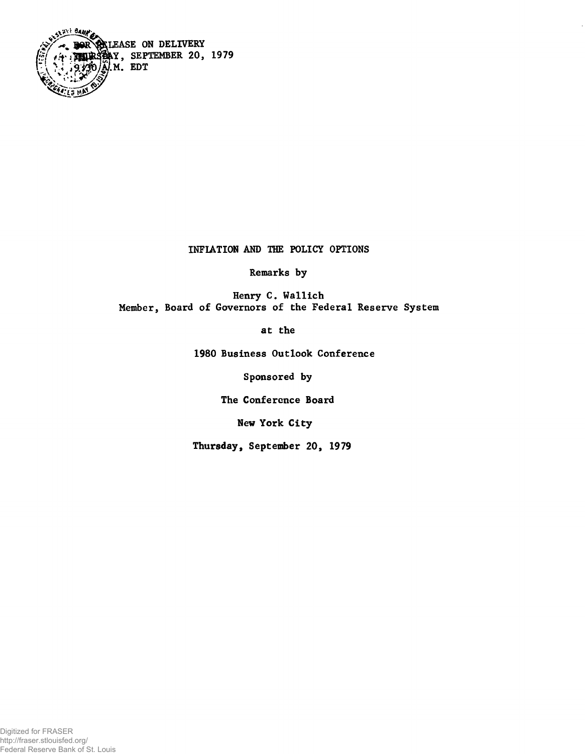

## INFLATION AND THE POLICY OPTIONS

Remarks by

Henry C. Wallich Member, Board of Governors of the Federal Reserve System

at the

1980 Business Outlook Conference

Sponsored by

The Conference Board

New York City

Thursday, September 20, 1979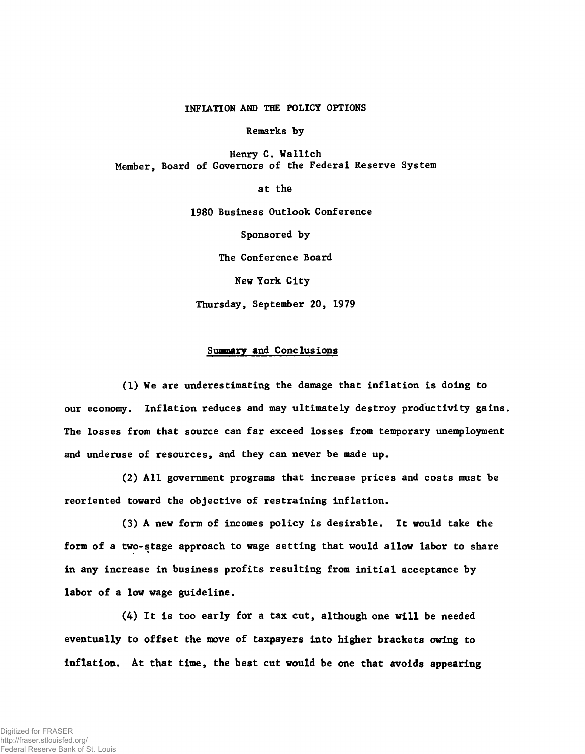## INFLATION AND THE POLICY OPTIONS

Remarks by

Henry C. Wallich Member, Board of Governors of the Federal Reserve System

at the

1980 Business Outlook Conference

Sponsored by

The Conference Board

New York City

Thursday, September 20, 1979

## Summary and Conclusions

(1) We are underestimating the damage that inflation is doing to our economy. Inflation reduces and may ultimately destroy productivity gains. The losses from that source can far exceed losses from temporary unemployment and underuse of resources, and they can never be made up.

(2) All government programs that increase prices and costs must be reoriented toward the objective of restraining inflation.

(3) A new form of incomes policy is desirable. It would take the form of a two-stage approach to wage setting that would allow labor to share in any increase in business profits resulting from initial acceptance by labor of a low wage guideline.

(4) It is too early for a tax cut, although one will be needed eventually to offset the move of taxpayers into higher brackets owing to inflation. At that time, the best cut would be one that avoids appearing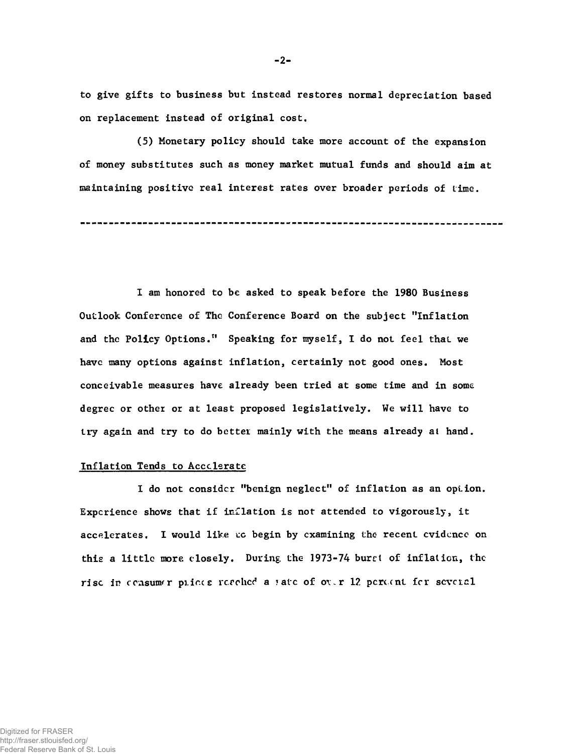to give gifts to business but instead restores normal depreciation based on replacement instead of original cost.

**-2-**

(5) Monetary policy should take more account of the expansion of money substitutes such as money market mutual funds and should aim at maintaining positive real interest rates over broader periods of time.

1 am honored to be asked to speak before the 1980 Business Outlook Conference of The Conference Board on the subject "Inflation and the Policy Options." Speaking for myself, I do not feel that we have many options against inflation, certainly not good ones. Most conceivable measures have already been tried at some time and in some degree or other or at least proposed legislatively. We will have to try again and try to do better mainly with the means already at hand.

## Inflation Tends to Accolerate

I do not consider "benign neglect" of inflation as an opi.ion. Experience shows that if inflation is not attended to vigorously, it accelerates. I would like uc begin by examining the recent cvidcnce on this a little more closely. During, the 1973-74 buret of inflation, the rise in consumer plices resolted a ?atc of over 12 percent for several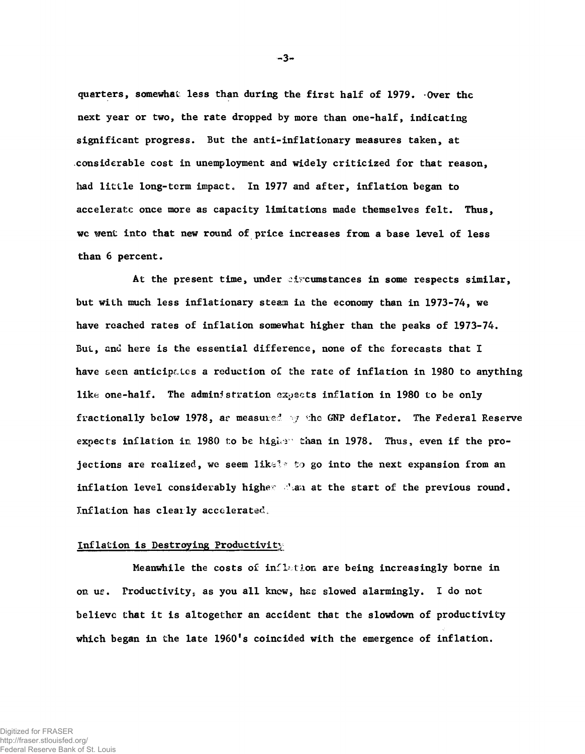quarters, somewhat less than during the first half of 1979. Over the next year or two, the rate dropped by more than one-half, indicating significant progress. But the anti-inflationary measures taken, at considerable cost in unemployment and widely criticized for that reason, had little long-term impact. In 1977 and after, inflation began to acceleratc once more as capacity limitations made themselves felt. Thus, wc went into that new round of price increases from a base level of less than 6 percent.

At the present time, under circumstances in some respects similar, but with much less inflationary steam in the economy than in 1973-74, we have reached rates of inflation somewhat higher than the peaks of 1973-74. But, and here is the essential difference, none of the forecasts that I have seen anticipates a reduction of the rate of inflation in 1980 to anything like one-half. The administration expects inflation in 1980 to be only fractionally below 1978, as measured by the GNP deflator. The Federal Reserve expects inflation in 1980 to be higher than in 1978. Thus, even if the projections are realized, we seem likel? to go into the next expansion from an inflation level considerably higher than at the start of the previous round. Inflation has clearly accelerated.

### Inflation is Destroying Productivity

Meanwhile the costs of inflation are being increasingly borne in on us. Productivity, as you all knew, has slowed alarmingly. I do not believe that it is altogether an accident that the slowdown of productivity which began in the late 1960's coincided with the emergence of inflation.

**-3**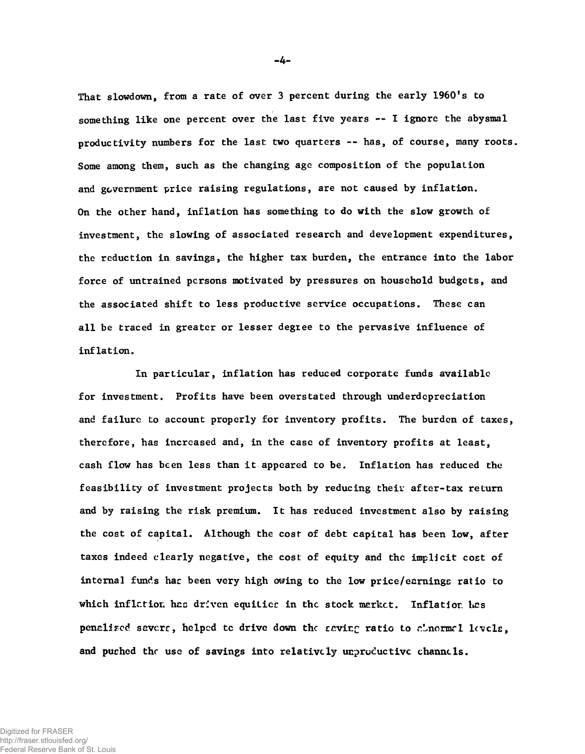That slowdown, from a rate of over 3 percent during the early 1960's to something like one percent over the last five years -- I ignore the abysmal productivity numbers for the last two quarters -- has, of course, many roots. Some among them, such as the changing age composition of the population and government price raising regulations, are not caused by inflation. On the other hand, inflation has something to do with the slow growth of investment, the slowing of associated research and development expenditures, the reduction in savings, the higher tax burden, the entrance into the labor force of untrained persons motivated by pressures on household budgets, and the associated shift to less productive service occupations. These can all be traced in greater or lesser degree to the pervasive influence of inflation.

In particular, inflation has reduced corporate funds available for investment. Profits have been overstated through underdepreciation and failure to account properly for inventory profits. The burden of taxes, therefore, has increased and, in the case of inventory profits at least, cash flow has been less than it appeared to be. Inflation has reduced the feasibility of investment projects both by reducing their after-tax return and by raising the risk premium. It has reduced investment also by raising the cost of capital. Although the cost of debt capital has been low, after taxes indeed clearly negative, the cost of equity and the implicit cost of internal funds has been very high owing to the low price/earnings ratio to which inflation has driven equities in the stock market. Inflation has penalized savers, helped to drive down the saving ratio to alnormal levels, and pushed the use of savings into relatively unproductive channels.

**-4-**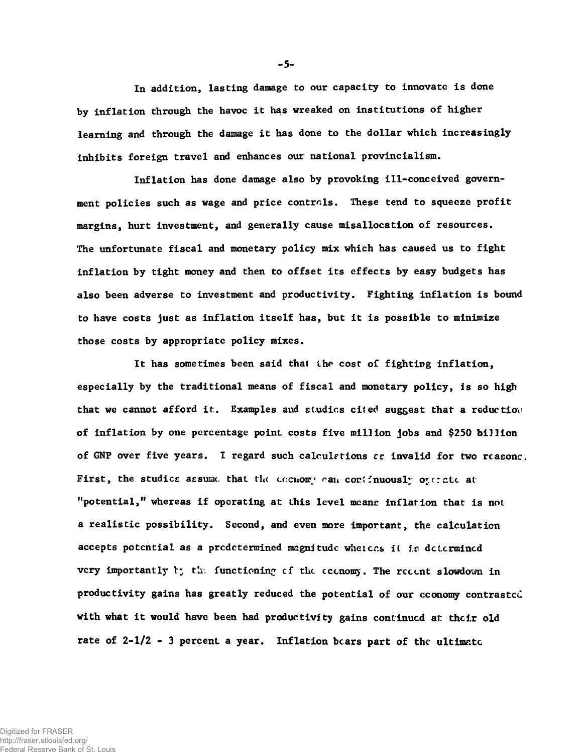In addition, lasting damage to our capacity to innovate is done by inflation through the havoc it has wreaked on institutions of higher learning and through the damage it has done to the dollar which increasingly inhibits foreign travel and enhances our national provincialism.

Inflation has done damage also by provoking ill-conceived government policies such as wage and price controls. These tend to squeeze profit margins, hurt investment, and generally cause misallocation of resources. The unfortunate fiscal and monetary policy mix which has caused us to fight inflation by tight money and then to offset its effects by easy budgets has also been adverse to investment and productivity. Fighting inflation is bound to have costs just as inflation itself has, but it is possible to minimize those costs by appropriate policy mixes.

It has sometimes been said that the cost of fighting inflation, especially by the traditional means of fiscal and monetary policy, is so high that we cannot afford it. Examples and studies cited suggest that a reduction of inflation by one percentage point costs five million jobs and \$250 billion of GNP over five years. I regard such calculations  $\epsilon$ c invalid for two reasons. First, the studies assume that the eccnomy can continuously operate at "potential," whereas if operating at this level means inflation that is not a realistic possibility. Second, and even more important, the calculation accepts potential as a predetermined magnitude whereas it is determined very importantly t; the functioning of the coenomy. The recent slowdown in productivity gains has greatly reduced the potential of our cconomy contrasted with what it would have been had productivity gains continued at their old rate of  $2-1/2$  - 3 percent a year. Inflation bears part of the ultimate

**-5-**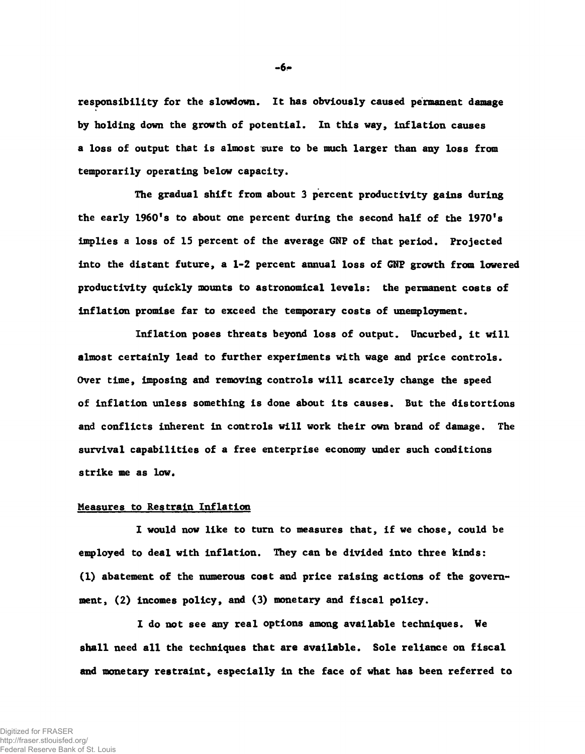responsibility for the slowdown. It has obviously caused permanent damage by holding down the growth of potential. In this way, inflation causes a loss of output that is almost sure to be much larger than any loss from temporarily operating below capacity.

The gradual shift from about 3 percent productivity gains during the early 1960's to about one percent during the second half of the 1970's implies a loss of 15 percent of the average GNF of that period. Projected into the distant future, a 1-2 percent annual loss of GNP growth from lowered productivity quickly mounts to astronomical levels: the permanent costs of inflation promise far to exceed the temporary costs of unemployment.

Inflation poses threats beyond loss of output. Uncurbed, it will almost certainly lead to further experiments with wage and price controls. Over time, imposing and removing controls will scarcely change the speed of inflation unless something is done about its causes. But the distortions and conflicts inherent in controls will work their own brand of damage. The survival capabilities of a free enterprise economy under such conditions strike me as low.

# Measures to Restrain Inflation

I would now like to turn to measures that, if we chose, could be employed to deal with inflation. They can be divided into three kinds: (1) abatement of the numerous cost and price raising actions of the government, (2) incomes policy, and (3) monetary and fiscal policy.

I do not see any real options among available techniques. We shall need all the techniques that are available. Sole reliance on fiscal and monetary restraint, especially in the face of what has been referred to

**- 6-**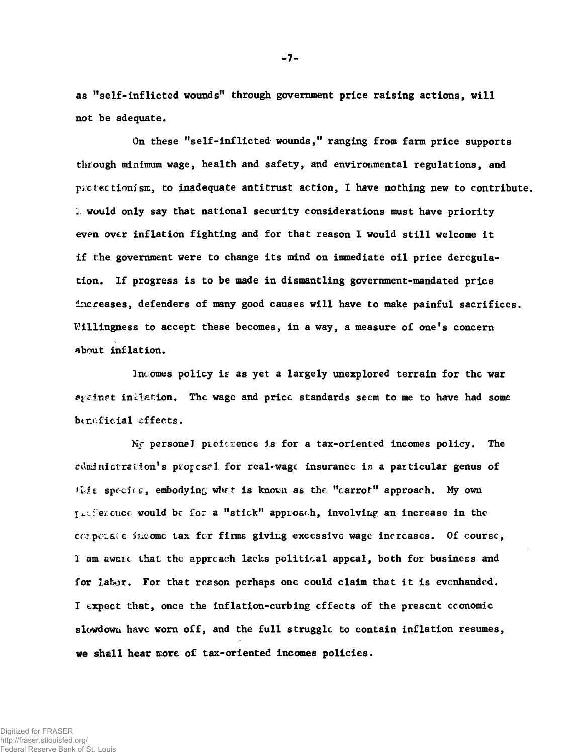as "self-inflicted wounds" through government price raising actions, will not be adequate.

On these "self-inflicted- wounds," ranging from farm price supports through minimum wage, health and safety, and environmental regulations, and pactectionism, to inadequate antitrust action, I have nothing new to contribute. I would only say that national security considerations must have priority even over inflation fighting and for that reason I would still welcome it if the government were to change its mind on immediate oil price deregulation. If progress is to be made in dismantling government-mandated price increases, defenders of many good causes will have to make painful sacrificcs. Willingness to accept these becomes, in a way, a measure of one's concern about inflation.

Incomes policy is as yet a largely unexplored terrain for the war against inflation. The wage and pricc standards seem to me to have had some beneficial effects.

*¥i?* personal preference is for a tax-oriented incomes policy. The edministration's proposel for real-wage insurance is a particular genus of this species, embodying what is known as the "carrot" approach. My own Intercuce would be for a "stick" approach, involving an increase in the corporate income tax for firms giving excessive wage increases. Of course, 1 am cwcxc. that the approach lacks political appeal, both for business and for labor. For that reason perhaps one could claim that it is evenhanded. I expect that, once the inflation-curbing effects of the present economic slowdown have worn off, and the full struggle to contain inflation resumes, we shall hear *move,* of tax-oriented incomes policies.

**7-**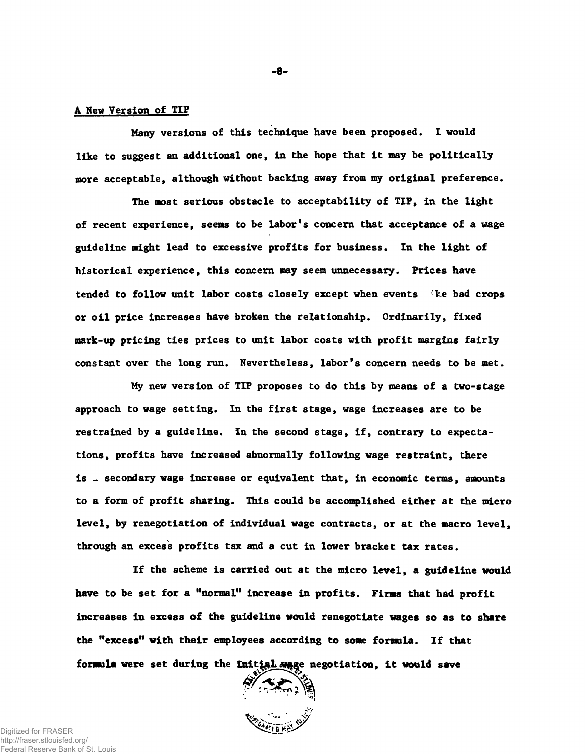## A New Version of TIP

Many versions of this technique have been proposed. I would like to suggest an additional one, in the hope that it may be politically more acceptable, although without backing away from my original preference.

The most serious obstacle to acceptability of TIP, in the light of recent experience, seems to be labor's concern that acceptance of a wage guideline might lead to excessive profits for business. In the light of historical experience, this concern may seem unnecessary. Prices have tended to follow unit labor costs closely except when events ike bad crops or oil price increases have broken the relationship. Ordinarily, fixed mark-up pricing ties prices to unit labor costs with profit margins fairly constant over the long run. Nevertheless, labor's concern needs to be met.

My new version of TIP proposes to do this by means of a two-stage approach to wage setting. In the first stage, wage increases are to be restrained by a guideline. In the second stage, if, contrary to expectations, profits have increased abnormally following wage restraint, there is . secondary wage increase or equivalent that, in economic terms, amounts to a form of profit sharing. This could be accomplished either at the micro level, by renegotiation of individual wage contracts, or at the macro level, through an excess profits tax and a cut in lower bracket tax rates.

If the scheme is carried out at the micro level, a guideline would have to be set for a "normal" increase in profits. Firms that had profit increases in excess of the guideline would renegotiate wages so as to share the "excess" with their employees according to some formula. If that formula were set during the Initial same negotiation, it would save<br> $\left(\sum_{i=1}^{N} x_i\right)$ 



**- 8-**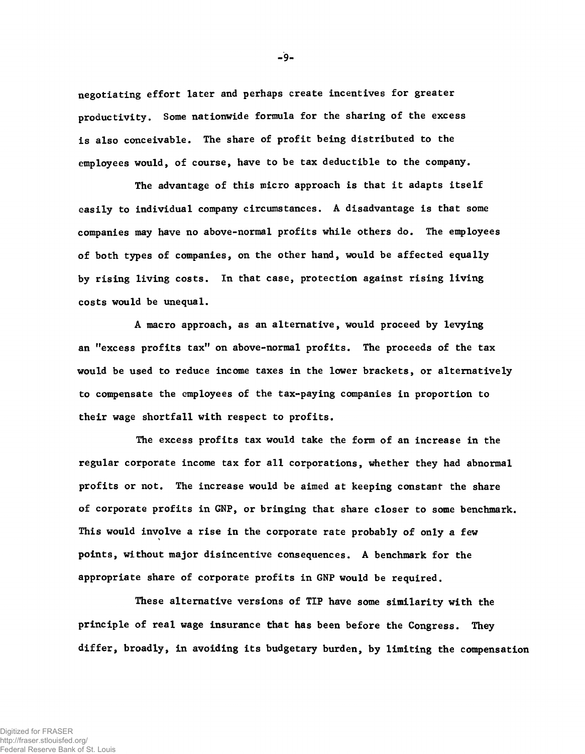negotiating effort later and perhaps create incentives for greater productivity. Some nationwide formula for the sharing of the excess is also conceivable. The share of profit being distributed to the employees would, of course, have to be tax deductible to the company.

The advantage of this micro approach is that it adapts itself easily to individual company circumstances. A disadvantage is that some companies may have no above-normal profits while others do. The employees of both types of companies, on the other hand, would be affected equally by rising living costs. In that case, protection against rising living costs would be unequal.

A macro approach, as an alternative, would proceed by levying an "excess profits tax" on above-normal profits. The proceeds of the tax would be used to reduce income taxes in the lower brackets, or alternatively to compensate the employees of the tax-paying companies in proportion to their wage shortfall with respect to profits.

The excess profits tax would take the form of an increase in the regular corporate income tax for all corporations, whether they had abnormal profits or not. The increase would be aimed at keeping constant the share of corporate profits in GNP, or bringing that share closer to some benchmark. This would involve a rise in the corporate rate probably of only a few % points, without major disincentive consequences. A benchmark for the appropriate share of corporate profits in GNP would be required.

These alternative versions of TIP have some similarity with the principle of real wage insurance that has been before the Congress. They differ, broadly, in avoiding its budgetary burden, by limiting the compensation

 $-9-$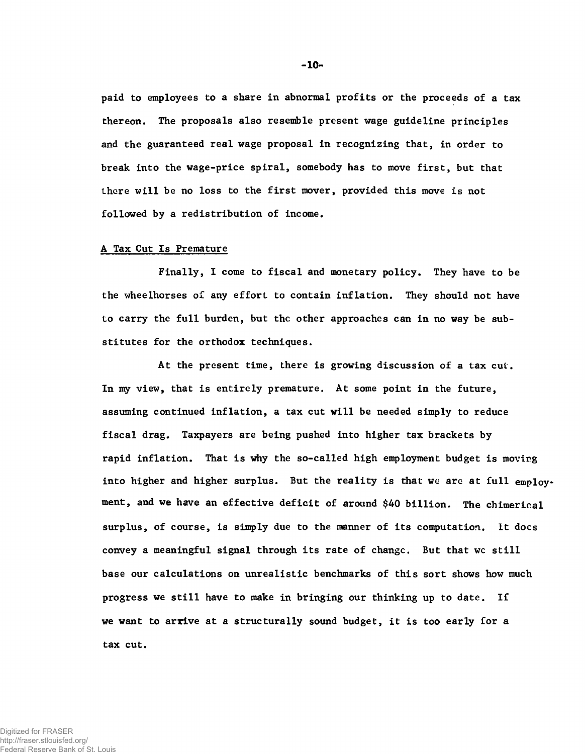pa id to employees to a share in abnormal profits or the proceeds of a tax thereon. The proposals also resemble present wage guideline principles and the guaranteed real wage proposal in recognizing that, in order to break into the wage-price spiral, somebody has to move first, but that there will be no loss to the first mover, provided this move is not followed by a redistribution of income.

#### A Tax Cut Is Premature

Finally, I come to fiscal and monetary policy. They have to be the wheelhorses of any effort to contain inflation. They should not have to carry the full burden, but the other approaches can in no way be substitutes for the orthodox techniques.

At the present time, there is growing discussion of a tax cut. In my view, that is entirely premature. At some point in the future, assuming continued inflation, a tax cut will be needed simply to reduce fiscal drag. Taxpayers are being pushed into higher tax brackets by rapid inflation. That is why the so-called high employment budget is moving into higher and higher surplus. But the reality is that we are at full  $emp1ov$ . ment, and we have an effective deficit of around \$40 billion. The chimerical surplus, of course, is simply due to the manner of its computation. It docs convey a meaningful signal through its rate of changc. But that wc still base our calculations on unrealistic benchmarks of this sort shows how much progress we still have to make in bringing our thinking up to date. If we want to arrive at a structurally sound budget, it is too early for a tax cut.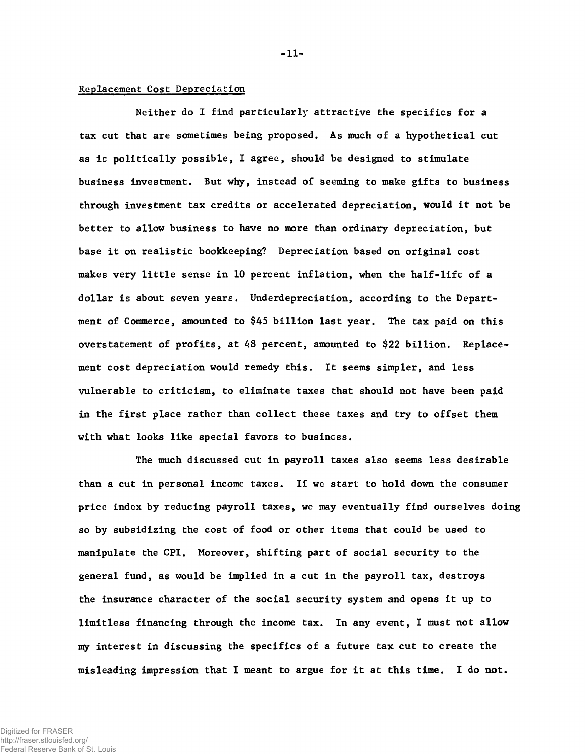# Replacement Cost Depreciation

Neither do I find particularly attractive the specifics for a tax cut that are sometimes being proposed. As much of a hypothetical cut as is politically possible, I agree, should be designed to stimulate business investment. But why, instead of seeming to make gifts to business through investment tax credits or accelerated depreciation, would it not be better to allow business to have no more than ordinary depreciation, but base it on realistic bookkeeping? Depreciation based on original cost makes very little sense in 10 percent inflation, when the half-life of a dollar is about seven years. Underdepreciation, according to the Department of Commerce, amounted to \$45 billion last year. The tax paid on this overstatement of profits, at 48 percent, amounted to \$22 billion. Replacement cost depreciation would remedy this. It seems simpler, and less vulnerable to criticism, to eliminate taxes that should not have been paid in the first place rather than collect these taxes and try to offset them with what looks like special favors to business.

The much discussed cut in payroll taxes also seems less desirable than a cut in personal income taxes. If we start to hold down the consumer pricc index by reducing payroll taxes, we may eventually find ourselves doing so by subsidizing the cost of food or other items that could be used to manipulate the CPI. Moreover, shifting part of social security to the general fund, as would be implied in a cut in the payroll tax, destroys the insurance character of the social security system and opens it up to limitless financing through the income tax. In any event, I must not allow my interest in discussing the specifics of a future tax cut to create the misleading impression that I meant to argue for it at this time. I do not.

**-11-**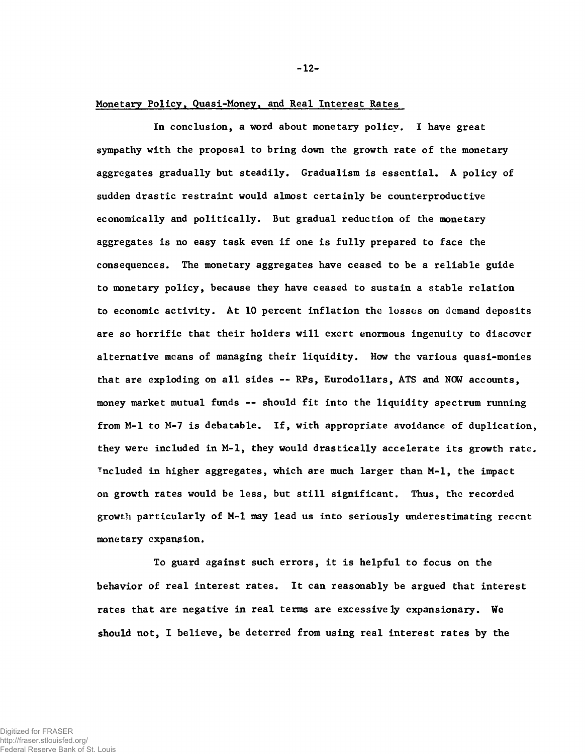#### Monetary Policy. Quasi-Money, and Real Interest Rates

In conclusion, a word about monetary policy. I have great sympathy with the proposal to bring down the growth rate of the monetary aggregates gradually but steadily. Gradualism is essential. A policy of sudden drastic restraint would almost certainly be counterproductive economically and politically. But gradual reduction of the monetary aggregates is no easy task even if one is fully prepared to face the consequences. The monetary aggregates have ceased to be a reliable guide to monetary policy, because they have ceased to sustain a stable relation to economic activity. At 10 percent inflation the losses on demand deposits are so horrific that their holders will exert enormous ingenuity to discover alternative means of managing their liquidity. How the various quasi-monies that are exploding on all sides -- RPs, Eurodollars, ATS and NOW accounts, money market mutual funds — should fit into the liquidity spectrum running from M-l to M-7 is debatable. If, with appropriate avoidance of duplication, they were included in M-l, they would drastically accelerate its growth rate. Tncluded in higher aggregates, which are much larger than M-l, the impact on growth rates would be less, but still significant. Thus, the recorded growth particularly of M-l may lead us into seriously underestimating recent monetary expansion.

To guard against such errors, it is helpful to focus on the behavior of real interest rates. It can reasonably be argued that interest rates that are negative in real terms are excessively expansionary. We should not, I believe, be deterred from using real interest rates by the

Digitized for FRASER http://fraser.stlouisfed.org/ Federal Reserve Bank of St. Louis **-12-**